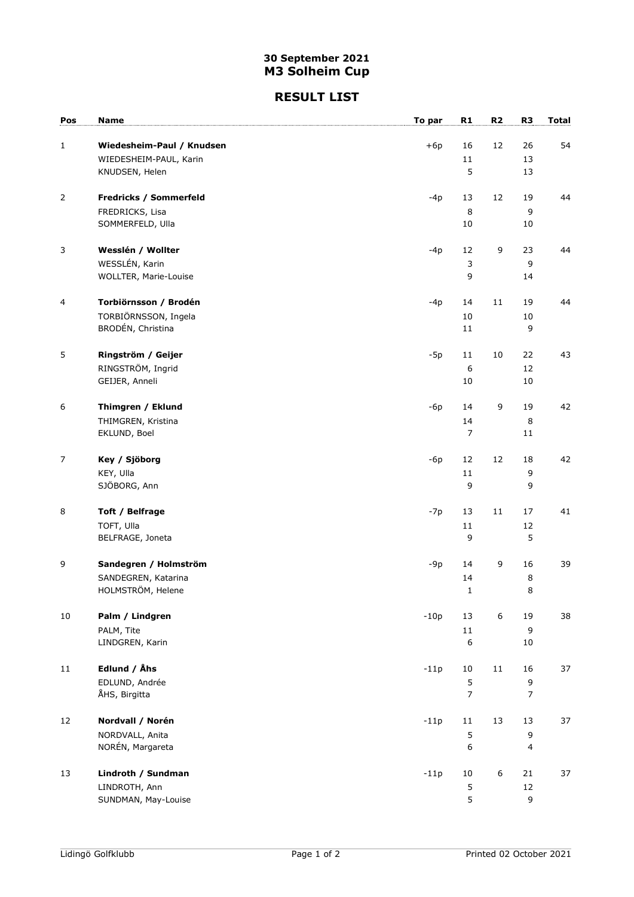### 30 September 2021 M3 Solheim Cup

#### RESULT LIST

| Pos              | <b>Name</b>                        | To par | R1                   | R2               | R <sub>3</sub> | <b>Total</b> |
|------------------|------------------------------------|--------|----------------------|------------------|----------------|--------------|
|                  |                                    |        |                      |                  |                |              |
| $\mathbf{1}$     | Wiedesheim-Paul / Knudsen          | $+6p$  | 16                   | 12               | 26             | 54           |
|                  | WIEDESHEIM-PAUL, Karin             |        | 11<br>5              |                  | 13             |              |
|                  | KNUDSEN, Helen                     |        |                      |                  | 13             |              |
| $\overline{2}$   | Fredricks / Sommerfeld             | $-4p$  | 13                   | 12               | 19             | 44           |
|                  | FREDRICKS, Lisa                    |        | 8                    |                  | 9              |              |
|                  | SOMMERFELD, Ulla                   |        | 10                   |                  | 10             |              |
| 3                | Wesslén / Wollter                  | $-4p$  | 12                   | $\mathsf 9$      | 23             | 44           |
|                  | WESSLÉN, Karin                     |        | 3                    |                  | 9              |              |
|                  | WOLLTER, Marie-Louise              |        | 9                    |                  | 14             |              |
| $\overline{4}$   | Torbiörnsson / Brodén              | $-4p$  | 14                   | 11               | 19             | 44           |
|                  | TORBIÖRNSSON, Ingela               |        | 10                   |                  | $10\,$         |              |
|                  | BRODÉN, Christina                  |        | 11                   |                  | 9              |              |
| 5                | Ringström / Geijer                 | $-5p$  | 11                   | 10               | 22             | 43           |
|                  | RINGSTRÖM, Ingrid                  |        | 6                    |                  | 12             |              |
|                  | GEIJER, Anneli                     |        | 10                   |                  | $10\,$         |              |
|                  |                                    |        |                      |                  |                |              |
| $\boldsymbol{6}$ | Thimgren / Eklund                  | $-6p$  | 14                   | 9                | 19             | 42           |
|                  | THIMGREN, Kristina<br>EKLUND, Boel |        | 14<br>$\overline{7}$ |                  | $\,8\,$<br>11  |              |
|                  |                                    |        |                      |                  |                |              |
| $\overline{7}$   | Key / Sjöborg                      | $-6p$  | 12                   | 12               | 18             | 42           |
|                  | KEY, Ulla                          |        | 11                   |                  | 9              |              |
|                  | SJÖBORG, Ann                       |        | 9                    |                  | 9              |              |
| 8                | Toft / Belfrage                    | $-7p$  | 13                   | 11               | 17             | 41           |
|                  | TOFT, Ulla                         |        | 11                   |                  | 12             |              |
|                  | BELFRAGE, Joneta                   |        | 9                    |                  | 5              |              |
| 9                | Sandegren / Holmström              | $-9p$  | 14                   | 9                | 16             | 39           |
|                  | SANDEGREN, Katarina                |        | 14                   |                  | 8              |              |
|                  | HOLMSTRÖM, Helene                  |        | 1                    |                  | 8              |              |
| 10               | Palm / Lindgren                    | $-10p$ | 13                   | $\boldsymbol{6}$ | 19             | 38           |
|                  | PALM, Tite                         |        | 11                   |                  | 9              |              |
|                  | LINDGREN, Karin                    |        | 6                    |                  | 10             |              |
| 11               | Edlund / Åhs                       | $-11p$ | 10                   | 11               | 16             | 37           |
|                  | EDLUND, Andrée                     |        | 5                    |                  | 9              |              |
|                  | ÅHS, Birgitta                      |        | $\overline{7}$       |                  | $\overline{7}$ |              |
| 12               | Nordvall / Norén                   | $-11p$ | 11                   | 13               | 13             | 37           |
|                  | NORDVALL, Anita                    |        | 5                    |                  | 9              |              |
|                  | NORÉN, Margareta                   |        | 6                    |                  | $\overline{4}$ |              |
| 13               | Lindroth / Sundman                 | $-11p$ | 10                   | $\boldsymbol{6}$ | 21             | 37           |
|                  | LINDROTH, Ann                      |        | 5                    |                  | 12             |              |
|                  | SUNDMAN, May-Louise                |        | 5                    |                  | 9              |              |